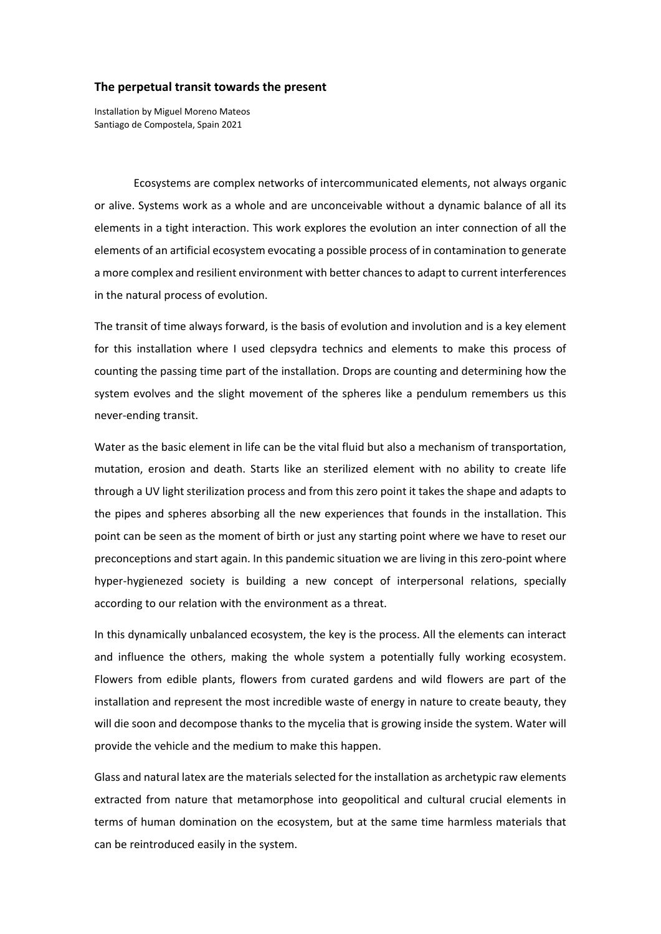## **The perpetual transit towards the present**

Installation by Miguel Moreno Mateos Santiago de Compostela, Spain 2021

Ecosystems are complex networks of intercommunicated elements, not always organic or alive. Systems work as a whole and are unconceivable without a dynamic balance of all its elements in a tight interaction. This work explores the evolution an inter connection of all the elements of an artificial ecosystem evocating a possible process of in contamination to generate a more complex and resilient environment with better chances to adapt to current interferences in the natural process of evolution.

The transit of time always forward, is the basis of evolution and involution and is a key element for this installation where I used clepsydra technics and elements to make this process of counting the passing time part of the installation. Drops are counting and determining how the system evolves and the slight movement of the spheres like a pendulum remembers us this never‐ending transit.

Water as the basic element in life can be the vital fluid but also a mechanism of transportation, mutation, erosion and death. Starts like an sterilized element with no ability to create life through a UV light sterilization process and from this zero point it takes the shape and adapts to the pipes and spheres absorbing all the new experiences that founds in the installation. This point can be seen as the moment of birth or just any starting point where we have to reset our preconceptions and start again. In this pandemic situation we are living in this zero‐point where hyper-hygienezed society is building a new concept of interpersonal relations, specially according to our relation with the environment as a threat.

In this dynamically unbalanced ecosystem, the key is the process. All the elements can interact and influence the others, making the whole system a potentially fully working ecosystem. Flowers from edible plants, flowers from curated gardens and wild flowers are part of the installation and represent the most incredible waste of energy in nature to create beauty, they will die soon and decompose thanks to the mycelia that is growing inside the system. Water will provide the vehicle and the medium to make this happen.

Glass and natural latex are the materials selected for the installation as archetypic raw elements extracted from nature that metamorphose into geopolitical and cultural crucial elements in terms of human domination on the ecosystem, but at the same time harmless materials that can be reintroduced easily in the system.